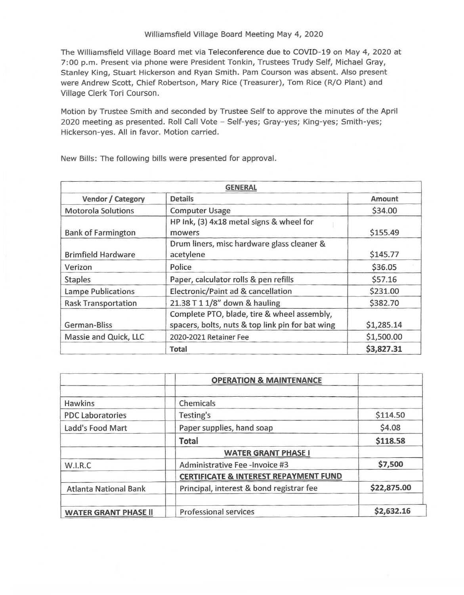## Williamsfield Village Board Meeting May 4, 2020

The Williamsfield Village Board met via Teleconference due to COVID-19 on May 4, 2020 at 7:00 p.m. Present via phone were President Tonkin, Trustees Trudy Self, Michael Gray, Stanley King, Stuart Hickerson and Ryan Smith. Pam Courson was absent. Also present were Andrew Scott, Chief Robertson, Mary Rice (Treasurer), Tom Rice (R/0 Plant) and Village Clerk Tori Courson.

Motion by Trustee Smith and seconded by Trustee Self to approve the minutes of the April 2020 meeting as presented. Roll Call Vote - Self-yes; Gray-yes; King-yes; Smith-yes; Hickerson-yes. All in favor. Motion carried.

| <b>GENERAL</b>             |                                                                                                 |            |
|----------------------------|-------------------------------------------------------------------------------------------------|------------|
| Vendor / Category          | <b>Details</b>                                                                                  | Amount     |
| <b>Motorola Solutions</b>  | <b>Computer Usage</b>                                                                           | \$34.00    |
| <b>Bank of Farmington</b>  | HP Ink, (3) 4x18 metal signs & wheel for<br>mowers                                              | \$155.49   |
| <b>Brimfield Hardware</b>  | Drum liners, misc hardware glass cleaner &<br>acetylene                                         | \$145.77   |
| Verizon                    | Police                                                                                          | \$36.05    |
| <b>Staples</b>             | Paper, calculator rolls & pen refills                                                           | \$57.16    |
| <b>Lampe Publications</b>  | Electronic/Paint ad & cancellation                                                              | \$231.00   |
| <b>Rask Transportation</b> | 21.38 T 1 1/8" down & hauling                                                                   | \$382.70   |
| German-Bliss               | Complete PTO, blade, tire & wheel assembly,<br>spacers, bolts, nuts & top link pin for bat wing | \$1,285.14 |
| Massie and Quick, LLC      | 2020-2021 Retainer Fee                                                                          | \$1,500.00 |
|                            | <b>Total</b>                                                                                    | \$3,827.31 |

New Bills: The following bills were presented for approval.

|                              | <b>OPERATION &amp; MAINTENANCE</b>               |             |
|------------------------------|--------------------------------------------------|-------------|
| Hawkins                      | Chemicals                                        |             |
| <b>PDC Laboratories</b>      | Testing's                                        | \$114.50    |
| Ladd's Food Mart             | Paper supplies, hand soap                        | \$4.08      |
|                              | <b>Total</b>                                     | \$118.58    |
|                              | <b>WATER GRANT PHASE I</b>                       |             |
| W.I.R.C                      | Administrative Fee-Invoice #3                    | \$7,500     |
|                              | <b>CERTIFICATE &amp; INTEREST REPAYMENT FUND</b> |             |
| <b>Atlanta National Bank</b> | Principal, interest & bond registrar fee         | \$22,875.00 |
| <b>WATER GRANT PHASE II</b>  | Professional services                            | \$2,632.16  |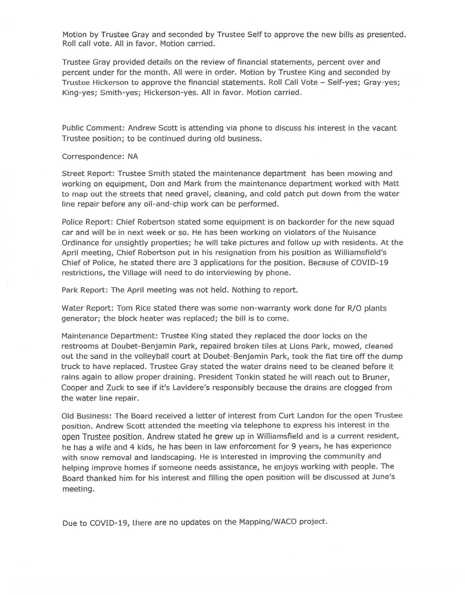Motion by Trustee Gray and seconded by Trustee Self to approve the new bills as presented. Roll call vote. All in favor. Motion carried.

Trustee Gray provided details on the review of financial statements, percent over and percent under for the month. All were in order. Motion by Trustee King and seconded by Trustee Hickerson to approve the financial statements. Roll Call Vote - Self-yes; Gray-yes; King-yes; Smith-yes; Hickerson-yes. All in favor. Motion carried.

Public Comment: Andrew Scott is attending via phone to discuss his interest in the vacant Trustee position; to be continued during old business.

## Correspondence: NA

Street Report: Trustee Smith stated the maintenance department has been mowing and working on equipment, Don and Mark from the maintenance department worked with Matt to map out the streets that need gravel, cleaning, and cold patch put down from the water line repair before any oil-and- chip work can be performed.

Police Report: Chief Robertson stated some equipment is on backorder for the new squad car and will be in next week or so. He has been working on violators of the Nuisance Ordinance for unsightly properties; he will take pictures and follow up with residents. At the April meeting, Chief Robertson put in his resignation from his position as Williamsfield's Chief of Police, he stated there are 3 applications for the position. Because of COVID-19 restrictions, the Village will need to do interviewing by phone.

Park Report: The April meeting was not held. Nothing to report.

Water Report: Tom Rice stated there was some non-warranty work done for R/O plants generator; the block heater was replaced; the bill is to come.

Maintenance Department: Trustee King stated they replaced the door locks on the restrooms at Doubet-Benjamin Park, repaired broken tiles at Lions Park, mowed, cleaned out the sand in the volleyball court at Doubet-Benjamin Park, took the flat tire off the dump truck to have replaced. Trustee Gray stated the water drains need to be cleaned before it rains again to allow proper draining. President Tonkin stated he will reach out to Bruner, Cooper and Zuck to see if it's Lavidere's responsibly because the drains are clogged from the water line repair.

Old Business: The Board received a letter of interest from Curt Landon for the open Trustee position. Andrew Scott attended the meeting via telephone to express his interest in the open Trustee position. Andrew stated he grew up in Williamsfield and is a current resident, he has a wife and 4 kids, he has been in law enforcement for 9 years, he has experience with snow removal and landscaping. He is interested in improving the community and helping improve homes if someone needs assistance, he enjoys working with people. The Board thanked him for his interest and filling the open position will be discussed at June's meeting.

Due to COVID-19, there are no updates on the Mapping/WACO project.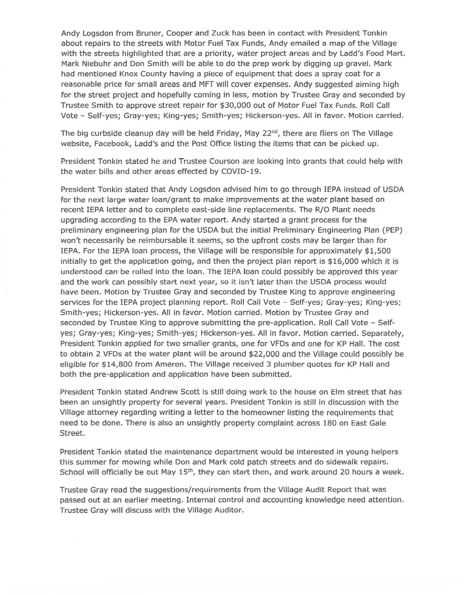Andy Logsdon from Bruner, Cooper and Zuck has been in contact with President Tonkin about repairs to the streets with Motor Fuel Tax Funds, Andy emailed a map of the Village with the streets highlighted that are a priority, water project areas and by Ladd's Food Mart. Mark Niebuhr and Don Smith will be able to do the prep work by digging up gravel. Mark had mentioned Knox County having a piece of equipment that does a spray coat for a reasonable price for small areas and MFT will cover expenses. Andy suggested aiming high for the street project and hopefully coming in less, motion by Trustee Gray and seconded by Trustee Smith to approve street repair for \$30,000 out of Motor Fuel Tax Funds. Roll Call Vote - Self-yes; Gray-yes; King-yes; Smith-yes; Hickerson-yes. All in favor. Motion carried.

The big curbside cleanup day will be held Friday, May  $22<sup>nd</sup>$ , there are fliers on The Village website, Facebook, Ladd's and the Post Office listing the items that can be picked up.

President Tonkin stated he and Trustee Courson are looking into grants that could help with the water bills and other areas effected by COVID-19.

President Tonkin stated that Andy Logsdon advised him to go through !EPA instead of USDA for the next large water loan/grant to make improvements at the water plant based on recent IEPA letter and to complete east-side line replacements. The R/O Plant needs upgrading according to the EPA water report. Andy started a grant process for the preliminary engineering plan for the USDA but the initial Preliminary Engineering Plan (PEP) won't necessarily be reimbursable it seems, so the upfront costs may be larger than for IEPA. For the IEPA loan process, the Village will be responsible for approximately \$1,500 initially to get the application going, and then the project plan report is \$16,000 which it is understood can be rolled into the loan. The !EPA loan could possibly be approved this year and the work can possibly start next year, so it isn't later than the USDA process would have been. Motion by Trustee Gray and seconded by Trustee King to approve engineering services for the IEPA project planning report. Roll Call Vote - Self-yes; Gray-yes; King-yes; Smith-yes; Hickerson-yes. All in favor. Motion carried. Motion by Trustee Gray and seconded by Trustee King to approve submitting the pre-application. Roll Call Vote - Selfyes; Gray-yes; King-yes; Smith-yes; Hickerson-yes. All in favor. Motion carried. Separately, President Tonkin applied for two smaller grants, one for VFDs and one for KP Hall. The cost to obtain 2 VFDs at the water plant will be around \$22,000 and the Village could possibly be eligible for \$14,800 from Ameren. The Village received 3 plumber quotes for KP Hall and both the pre-application and application have been submitted.

President Tonkin stated Andrew Scott is still doing work to the house on Elm street that has been an unsightly property for several years. President Tonkin is still in discussion with the Village attorney regarding writing a letter to the homeowner listing the requirements that need to be done. There is also an unsightly property complaint across 180 on East Gale Street.

President Tonkin stated the maintenance department would be interested in young helpers this summer for mowing while Don and Mark cold patch streets and do sidewalk repairs. School will officially be out May 15<sup>th</sup>, they can start then, and work around 20 hours a week.

Trustee Gray read the suggestions/requirements from the Village Audit Report that was passed out at an earlier meeting. Internal control and accounting knowledge need attention. Trustee Gray will discuss with the Village Auditor.